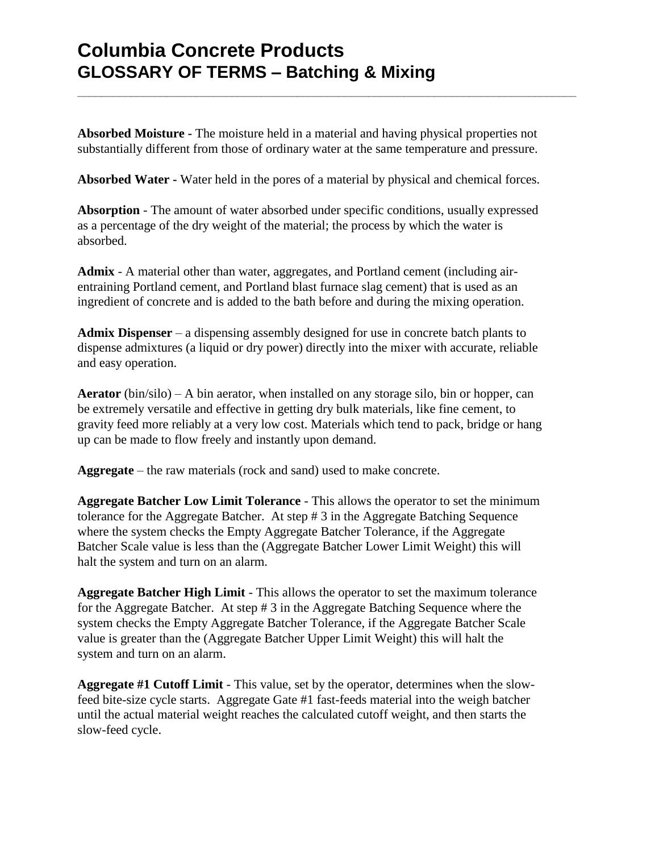**Absorbed Moisture -** The moisture held in a material and having physical properties not substantially different from those of ordinary water at the same temperature and pressure.

**\_\_\_\_\_\_\_\_\_\_\_\_\_\_\_\_\_\_\_\_\_\_\_\_\_\_\_\_\_\_\_\_\_\_\_\_\_\_\_\_\_\_\_\_\_\_\_\_\_\_\_\_\_\_\_\_\_\_\_\_\_\_\_\_\_\_\_\_\_\_\_\_\_\_\_\_\_\_\_\_\_\_\_\_**

**Absorbed Water -** Water held in the pores of a material by physical and chemical forces.

**Absorption** - The amount of water absorbed under specific conditions, usually expressed as a percentage of the dry weight of the material; the process by which the water is absorbed.

**Admix** - A material other than water, aggregates, and Portland cement (including airentraining Portland cement, and Portland blast furnace slag cement) that is used as an ingredient of concrete and is added to the bath before and during the mixing operation.

**Admix Dispenser** – a dispensing assembly designed for use in concrete batch plants to dispense admixtures (a liquid or dry power) directly into the mixer with accurate, reliable and easy operation.

**Aerator**  $(bin/silo) - A bin aerator$ , when installed on any storage silo, bin or hopper, can be extremely versatile and effective in getting dry bulk materials, like fine cement, to gravity feed more reliably at a very low cost. Materials which tend to pack, bridge or hang up can be made to flow freely and instantly upon demand.

**Aggregate** – the raw materials (rock and sand) used to make concrete.

**Aggregate Batcher Low Limit Tolerance** - This allows the operator to set the minimum tolerance for the Aggregate Batcher. At step # 3 in the Aggregate Batching Sequence where the system checks the Empty Aggregate Batcher Tolerance, if the Aggregate Batcher Scale value is less than the (Aggregate Batcher Lower Limit Weight) this will halt the system and turn on an alarm.

**Aggregate Batcher High Limit** - This allows the operator to set the maximum tolerance for the Aggregate Batcher. At step # 3 in the Aggregate Batching Sequence where the system checks the Empty Aggregate Batcher Tolerance, if the Aggregate Batcher Scale value is greater than the (Aggregate Batcher Upper Limit Weight) this will halt the system and turn on an alarm.

**Aggregate #1 Cutoff Limit** - This value, set by the operator, determines when the slowfeed bite-size cycle starts. Aggregate Gate #1 fast-feeds material into the weigh batcher until the actual material weight reaches the calculated cutoff weight, and then starts the slow-feed cycle.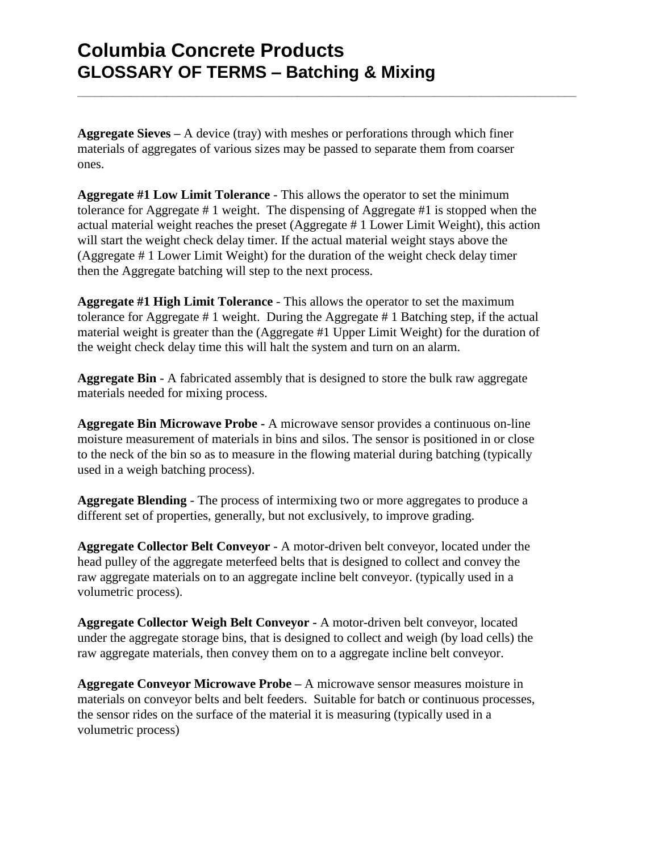**Aggregate Sieves –** A device (tray) with meshes or perforations through which finer materials of aggregates of various sizes may be passed to separate them from coarser ones.

**\_\_\_\_\_\_\_\_\_\_\_\_\_\_\_\_\_\_\_\_\_\_\_\_\_\_\_\_\_\_\_\_\_\_\_\_\_\_\_\_\_\_\_\_\_\_\_\_\_\_\_\_\_\_\_\_\_\_\_\_\_\_\_\_\_\_\_\_\_\_\_\_\_\_\_\_\_\_\_\_\_\_\_\_**

**Aggregate #1 Low Limit Tolerance** - This allows the operator to set the minimum tolerance for Aggregate # 1 weight. The dispensing of Aggregate #1 is stopped when the actual material weight reaches the preset (Aggregate # 1 Lower Limit Weight), this action will start the weight check delay timer. If the actual material weight stays above the (Aggregate # 1 Lower Limit Weight) for the duration of the weight check delay timer then the Aggregate batching will step to the next process.

**Aggregate #1 High Limit Tolerance** - This allows the operator to set the maximum tolerance for Aggregate # 1 weight. During the Aggregate # 1 Batching step, if the actual material weight is greater than the (Aggregate #1 Upper Limit Weight) for the duration of the weight check delay time this will halt the system and turn on an alarm.

**Aggregate Bin** - A fabricated assembly that is designed to store the bulk raw aggregate materials needed for mixing process.

**Aggregate Bin Microwave Probe -** A microwave sensor provides a continuous on-line moisture measurement of materials in bins and silos. The sensor is positioned in or close to the neck of the bin so as to measure in the flowing material during batching (typically used in a weigh batching process).

**Aggregate Blending** - The process of intermixing two or more aggregates to produce a different set of properties, generally, but not exclusively, to improve grading.

**Aggregate Collector Belt Conveyor** - A motor-driven belt conveyor, located under the head pulley of the aggregate meterfeed belts that is designed to collect and convey the raw aggregate materials on to an aggregate incline belt conveyor. (typically used in a volumetric process).

**Aggregate Collector Weigh Belt Conveyor -** A motor-driven belt conveyor, located under the aggregate storage bins, that is designed to collect and weigh (by load cells) the raw aggregate materials, then convey them on to a aggregate incline belt conveyor.

**Aggregate Conveyor Microwave Probe –** A microwave sensor measures moisture in materials on conveyor belts and belt feeders. Suitable for batch or continuous processes, the sensor rides on the surface of the material it is measuring (typically used in a volumetric process)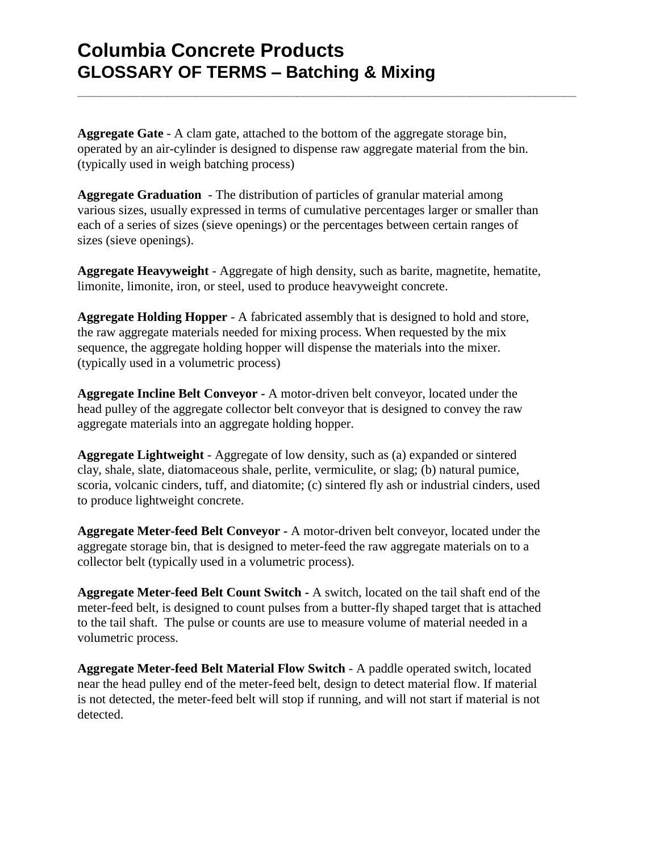**Aggregate Gate** - A clam gate, attached to the bottom of the aggregate storage bin, operated by an air-cylinder is designed to dispense raw aggregate material from the bin. (typically used in weigh batching process)

**\_\_\_\_\_\_\_\_\_\_\_\_\_\_\_\_\_\_\_\_\_\_\_\_\_\_\_\_\_\_\_\_\_\_\_\_\_\_\_\_\_\_\_\_\_\_\_\_\_\_\_\_\_\_\_\_\_\_\_\_\_\_\_\_\_\_\_\_\_\_\_\_\_\_\_\_\_\_\_\_\_\_\_\_**

**Aggregate Graduation** - The distribution of particles of granular material among various sizes, usually expressed in terms of cumulative percentages larger or smaller than each of a series of sizes (sieve openings) or the percentages between certain ranges of sizes (sieve openings).

**Aggregate Heavyweight** - Aggregate of high density, such as barite, magnetite, hematite, limonite, limonite, iron, or steel, used to produce heavyweight concrete.

**Aggregate Holding Hopper** - A fabricated assembly that is designed to hold and store, the raw aggregate materials needed for mixing process. When requested by the mix sequence, the aggregate holding hopper will dispense the materials into the mixer. (typically used in a volumetric process)

**Aggregate Incline Belt Conveyor -** A motor-driven belt conveyor, located under the head pulley of the aggregate collector belt conveyor that is designed to convey the raw aggregate materials into an aggregate holding hopper.

**Aggregate Lightweight** - Aggregate of low density, such as (a) expanded or sintered clay, shale, slate, diatomaceous shale, perlite, vermiculite, or slag; (b) natural pumice, scoria, volcanic cinders, tuff, and diatomite; (c) sintered fly ash or industrial cinders, used to produce lightweight concrete.

**Aggregate Meter-feed Belt Conveyor -** A motor-driven belt conveyor, located under the aggregate storage bin, that is designed to meter-feed the raw aggregate materials on to a collector belt (typically used in a volumetric process).

**Aggregate Meter-feed Belt Count Switch -** A switch, located on the tail shaft end of the meter-feed belt, is designed to count pulses from a butter-fly shaped target that is attached to the tail shaft. The pulse or counts are use to measure volume of material needed in a volumetric process.

**Aggregate Meter-feed Belt Material Flow Switch** - A paddle operated switch, located near the head pulley end of the meter-feed belt, design to detect material flow. If material is not detected, the meter-feed belt will stop if running, and will not start if material is not detected.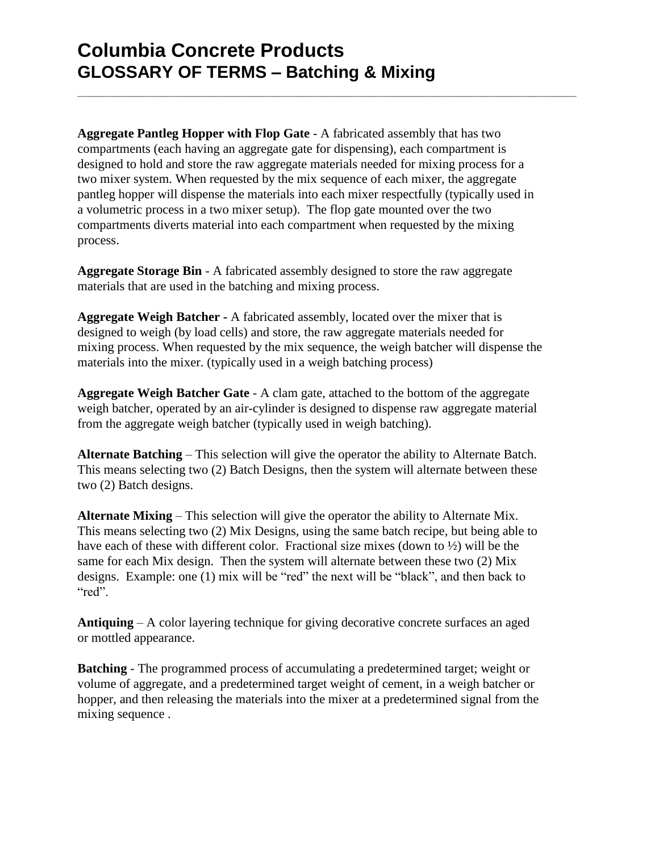**Aggregate Pantleg Hopper with Flop Gate** - A fabricated assembly that has two compartments (each having an aggregate gate for dispensing), each compartment is designed to hold and store the raw aggregate materials needed for mixing process for a two mixer system. When requested by the mix sequence of each mixer, the aggregate pantleg hopper will dispense the materials into each mixer respectfully (typically used in a volumetric process in a two mixer setup). The flop gate mounted over the two compartments diverts material into each compartment when requested by the mixing process.

**\_\_\_\_\_\_\_\_\_\_\_\_\_\_\_\_\_\_\_\_\_\_\_\_\_\_\_\_\_\_\_\_\_\_\_\_\_\_\_\_\_\_\_\_\_\_\_\_\_\_\_\_\_\_\_\_\_\_\_\_\_\_\_\_\_\_\_\_\_\_\_\_\_\_\_\_\_\_\_\_\_\_\_\_**

**Aggregate Storage Bin** - A fabricated assembly designed to store the raw aggregate materials that are used in the batching and mixing process.

**Aggregate Weigh Batcher -** A fabricated assembly, located over the mixer that is designed to weigh (by load cells) and store, the raw aggregate materials needed for mixing process. When requested by the mix sequence, the weigh batcher will dispense the materials into the mixer. (typically used in a weigh batching process)

**Aggregate Weigh Batcher Gate** - A clam gate, attached to the bottom of the aggregate weigh batcher, operated by an air-cylinder is designed to dispense raw aggregate material from the aggregate weigh batcher (typically used in weigh batching).

**Alternate Batching** – This selection will give the operator the ability to Alternate Batch. This means selecting two (2) Batch Designs, then the system will alternate between these two (2) Batch designs.

**Alternate Mixing** – This selection will give the operator the ability to Alternate Mix. This means selecting two (2) Mix Designs, using the same batch recipe, but being able to have each of these with different color. Fractional size mixes (down to ½) will be the same for each Mix design. Then the system will alternate between these two (2) Mix designs. Example: one (1) mix will be "red" the next will be "black", and then back to "red".

**Antiquing** – A color layering technique for giving decorative concrete surfaces an aged or mottled appearance.

**Batching** - The programmed process of accumulating a predetermined target; weight or volume of aggregate, and a predetermined target weight of cement, in a weigh batcher or hopper, and then releasing the materials into the mixer at a predetermined signal from the mixing sequence .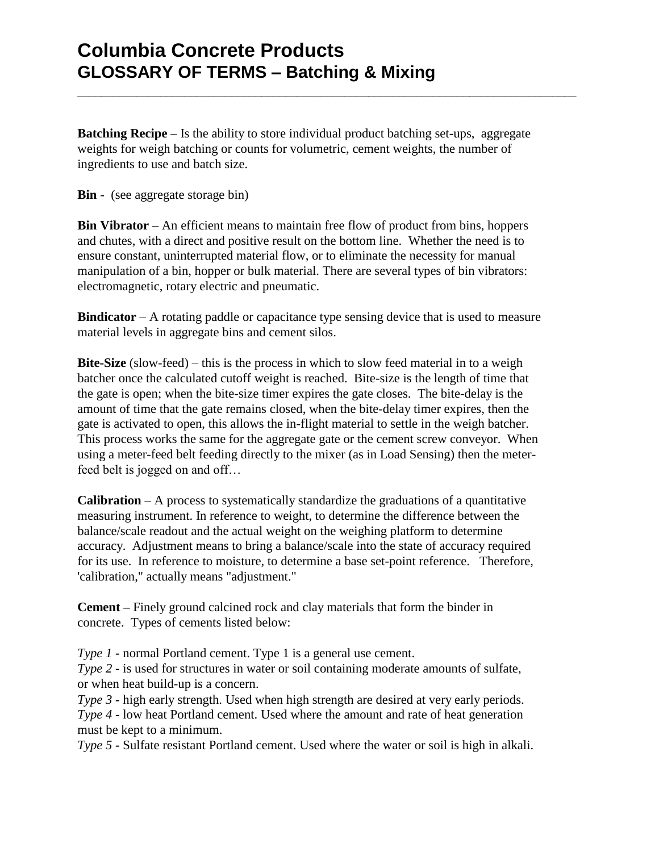**Batching Recipe** – Is the ability to store individual product batching set-ups, aggregate weights for weigh batching or counts for volumetric, cement weights, the number of ingredients to use and batch size.

**\_\_\_\_\_\_\_\_\_\_\_\_\_\_\_\_\_\_\_\_\_\_\_\_\_\_\_\_\_\_\_\_\_\_\_\_\_\_\_\_\_\_\_\_\_\_\_\_\_\_\_\_\_\_\_\_\_\_\_\_\_\_\_\_\_\_\_\_\_\_\_\_\_\_\_\_\_\_\_\_\_\_\_\_**

**Bin** - (see aggregate storage bin)

**Bin Vibrator** – An efficient means to maintain free flow of product from bins, hoppers and chutes, with a direct and positive result on the bottom line. Whether the need is to ensure constant, uninterrupted material flow, or to eliminate the necessity for manual manipulation of a bin, hopper or bulk material. There are several types of bin vibrators: electromagnetic, rotary electric and pneumatic.

**Bindicator** – A rotating paddle or capacitance type sensing device that is used to measure material levels in aggregate bins and cement silos.

**Bite-Size** (slow-feed) – this is the process in which to slow feed material in to a weigh batcher once the calculated cutoff weight is reached. Bite-size is the length of time that the gate is open; when the bite-size timer expires the gate closes. The bite-delay is the amount of time that the gate remains closed, when the bite-delay timer expires, then the gate is activated to open, this allows the in-flight material to settle in the weigh batcher. This process works the same for the aggregate gate or the cement screw conveyor. When using a meter-feed belt feeding directly to the mixer (as in Load Sensing) then the meterfeed belt is jogged on and off…

**Calibration** – A process to systematically standardize the graduations of a quantitative measuring instrument. In reference to weight, to determine the difference between the balance/scale readout and the actual weight on the weighing platform to determine accuracy. Adjustment means to bring a balance/scale into the state of accuracy required for its use. In reference to moisture, to determine a base set-point reference. Therefore, 'calibration," actually means "adjustment."

**Cement –** Finely ground calcined rock and clay materials that form the binder in concrete. Types of cements listed below:

*Type 1* **-** normal Portland cement. Type 1 is a general use cement.

*Type 2* **-** is used for structures in water or soil containing moderate amounts of sulfate, or when heat build-up is a concern.

*Type 3* **-** high early strength. Used when high strength are desired at very early periods.

*Type 4* - low heat Portland cement. Used where the amount and rate of heat generation must be kept to a minimum.

*Type 5* **-** Sulfate resistant Portland cement. Used where the water or soil is high in alkali.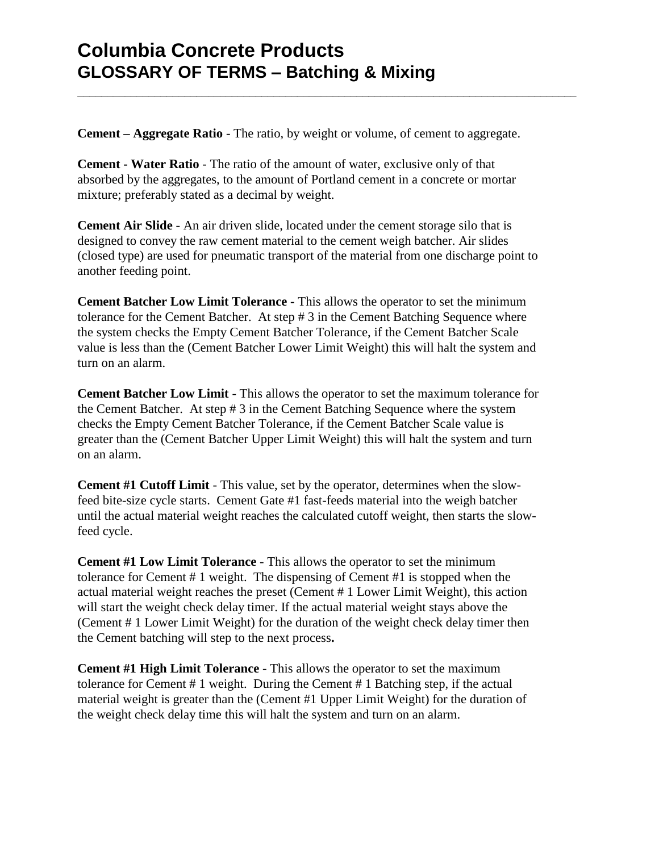**Cement – Aggregate Ratio** - The ratio, by weight or volume, of cement to aggregate.

**\_\_\_\_\_\_\_\_\_\_\_\_\_\_\_\_\_\_\_\_\_\_\_\_\_\_\_\_\_\_\_\_\_\_\_\_\_\_\_\_\_\_\_\_\_\_\_\_\_\_\_\_\_\_\_\_\_\_\_\_\_\_\_\_\_\_\_\_\_\_\_\_\_\_\_\_\_\_\_\_\_\_\_\_**

**Cement - Water Ratio** - The ratio of the amount of water, exclusive only of that absorbed by the aggregates, to the amount of Portland cement in a concrete or mortar mixture; preferably stated as a decimal by weight.

**Cement Air Slide** - An air driven slide, located under the cement storage silo that is designed to convey the raw cement material to the cement weigh batcher. Air slides (closed type) are used for pneumatic transport of the material from one discharge point to another feeding point.

**Cement Batcher Low Limit Tolerance -** This allows the operator to set the minimum tolerance for the Cement Batcher. At step # 3 in the Cement Batching Sequence where the system checks the Empty Cement Batcher Tolerance, if the Cement Batcher Scale value is less than the (Cement Batcher Lower Limit Weight) this will halt the system and turn on an alarm.

**Cement Batcher Low Limit** - This allows the operator to set the maximum tolerance for the Cement Batcher. At step # 3 in the Cement Batching Sequence where the system checks the Empty Cement Batcher Tolerance, if the Cement Batcher Scale value is greater than the (Cement Batcher Upper Limit Weight) this will halt the system and turn on an alarm.

**Cement #1 Cutoff Limit** - This value, set by the operator, determines when the slowfeed bite-size cycle starts. Cement Gate #1 fast-feeds material into the weigh batcher until the actual material weight reaches the calculated cutoff weight, then starts the slowfeed cycle.

**Cement #1 Low Limit Tolerance** - This allows the operator to set the minimum tolerance for Cement # 1 weight. The dispensing of Cement #1 is stopped when the actual material weight reaches the preset (Cement # 1 Lower Limit Weight), this action will start the weight check delay timer. If the actual material weight stays above the (Cement # 1 Lower Limit Weight) for the duration of the weight check delay timer then the Cement batching will step to the next process**.**

**Cement #1 High Limit Tolerance** - This allows the operator to set the maximum tolerance for Cement # 1 weight. During the Cement # 1 Batching step, if the actual material weight is greater than the (Cement #1 Upper Limit Weight) for the duration of the weight check delay time this will halt the system and turn on an alarm.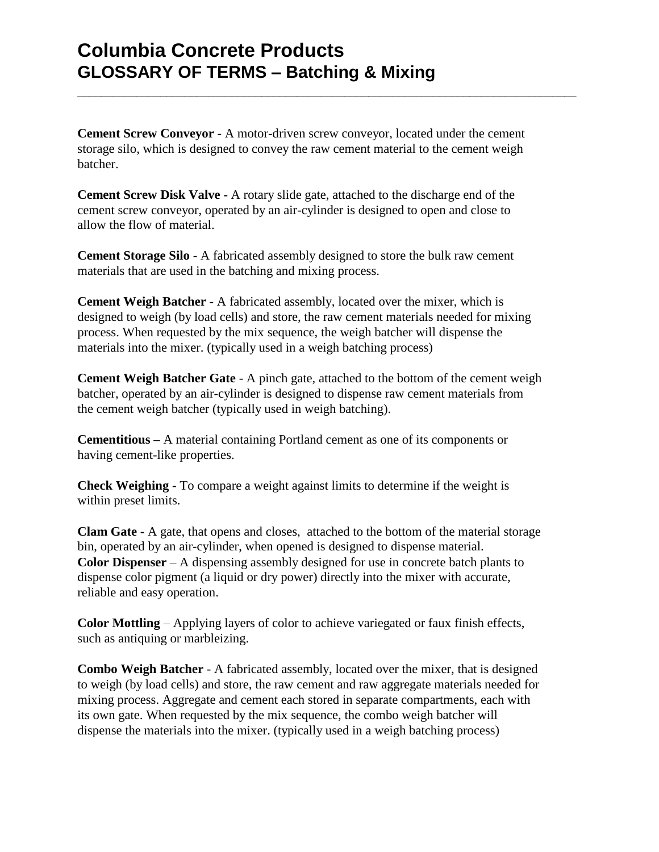**Cement Screw Conveyor** - A motor-driven screw conveyor, located under the cement storage silo, which is designed to convey the raw cement material to the cement weigh batcher.

**\_\_\_\_\_\_\_\_\_\_\_\_\_\_\_\_\_\_\_\_\_\_\_\_\_\_\_\_\_\_\_\_\_\_\_\_\_\_\_\_\_\_\_\_\_\_\_\_\_\_\_\_\_\_\_\_\_\_\_\_\_\_\_\_\_\_\_\_\_\_\_\_\_\_\_\_\_\_\_\_\_\_\_\_**

**Cement Screw Disk Valve -** A rotary slide gate, attached to the discharge end of the cement screw conveyor, operated by an air-cylinder is designed to open and close to allow the flow of material.

**Cement Storage Silo** - A fabricated assembly designed to store the bulk raw cement materials that are used in the batching and mixing process.

**Cement Weigh Batcher** - A fabricated assembly, located over the mixer, which is designed to weigh (by load cells) and store, the raw cement materials needed for mixing process. When requested by the mix sequence, the weigh batcher will dispense the materials into the mixer. (typically used in a weigh batching process)

**Cement Weigh Batcher Gate** - A pinch gate, attached to the bottom of the cement weigh batcher, operated by an air-cylinder is designed to dispense raw cement materials from the cement weigh batcher (typically used in weigh batching).

**Cementitious –** A material containing Portland cement as one of its components or having cement-like properties.

**Check Weighing -** To compare a weight against limits to determine if the weight is within preset limits.

**Clam Gate -** A gate, that opens and closes, attached to the bottom of the material storage bin, operated by an air-cylinder, when opened is designed to dispense material. **Color Dispenser** – A dispensing assembly designed for use in concrete batch plants to dispense color pigment (a liquid or dry power) directly into the mixer with accurate, reliable and easy operation.

**Color Mottling** – Applying layers of color to achieve variegated or faux finish effects, such as antiquing or marbleizing.

**Combo Weigh Batcher** - A fabricated assembly, located over the mixer, that is designed to weigh (by load cells) and store, the raw cement and raw aggregate materials needed for mixing process. Aggregate and cement each stored in separate compartments, each with its own gate. When requested by the mix sequence, the combo weigh batcher will dispense the materials into the mixer. (typically used in a weigh batching process)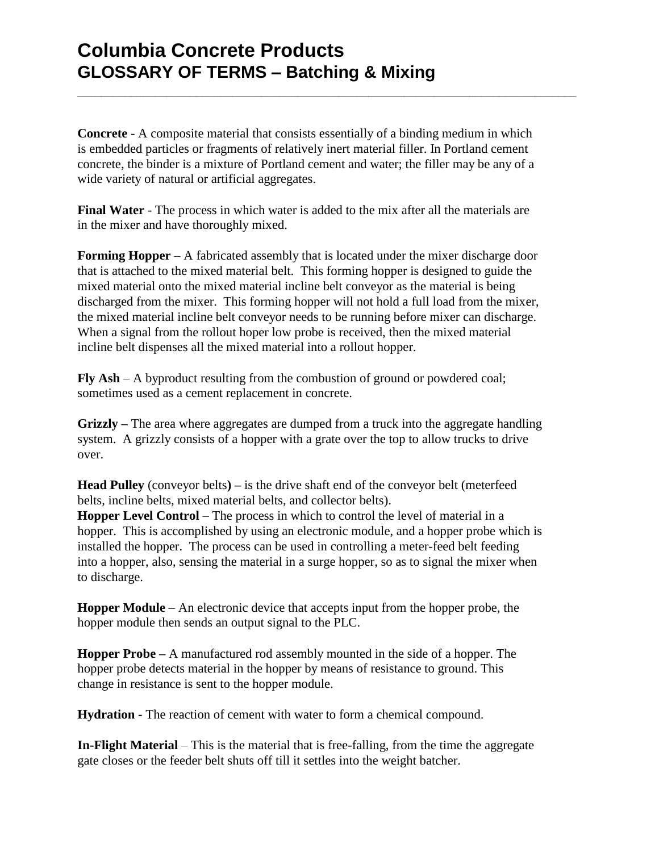**Concrete** - A composite material that consists essentially of a binding medium in which is embedded particles or fragments of relatively inert material filler. In Portland cement concrete, the binder is a mixture of Portland cement and water; the filler may be any of a wide variety of natural or artificial aggregates.

**\_\_\_\_\_\_\_\_\_\_\_\_\_\_\_\_\_\_\_\_\_\_\_\_\_\_\_\_\_\_\_\_\_\_\_\_\_\_\_\_\_\_\_\_\_\_\_\_\_\_\_\_\_\_\_\_\_\_\_\_\_\_\_\_\_\_\_\_\_\_\_\_\_\_\_\_\_\_\_\_\_\_\_\_**

**Final Water** - The process in which water is added to the mix after all the materials are in the mixer and have thoroughly mixed.

**Forming Hopper** – A fabricated assembly that is located under the mixer discharge door that is attached to the mixed material belt. This forming hopper is designed to guide the mixed material onto the mixed material incline belt conveyor as the material is being discharged from the mixer. This forming hopper will not hold a full load from the mixer, the mixed material incline belt conveyor needs to be running before mixer can discharge. When a signal from the rollout hoper low probe is received, then the mixed material incline belt dispenses all the mixed material into a rollout hopper.

**Fly Ash** – A byproduct resulting from the combustion of ground or powdered coal; sometimes used as a cement replacement in concrete.

**Grizzly –** The area where aggregates are dumped from a truck into the aggregate handling system. A grizzly consists of a hopper with a grate over the top to allow trucks to drive over.

**Head Pulley** (conveyor belts**) –** is the drive shaft end of the conveyor belt (meterfeed belts, incline belts, mixed material belts, and collector belts).

**Hopper Level Control** – The process in which to control the level of material in a hopper. This is accomplished by using an electronic module, and a hopper probe which is installed the hopper. The process can be used in controlling a meter-feed belt feeding into a hopper, also, sensing the material in a surge hopper, so as to signal the mixer when to discharge.

**Hopper Module** – An electronic device that accepts input from the hopper probe, the hopper module then sends an output signal to the PLC.

**Hopper Probe –** A manufactured rod assembly mounted in the side of a hopper. The hopper probe detects material in the hopper by means of resistance to ground. This change in resistance is sent to the hopper module.

**Hydration -** The reaction of cement with water to form a chemical compound.

**In-Flight Material** – This is the material that is free-falling, from the time the aggregate gate closes or the feeder belt shuts off till it settles into the weight batcher.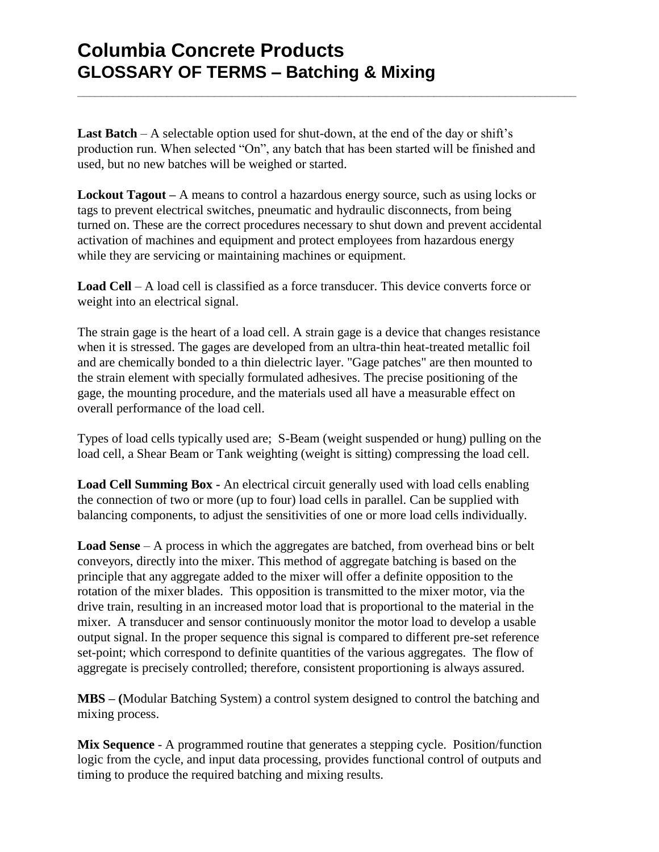**Last Batch** – A selectable option used for shut-down, at the end of the day or shift's production run. When selected "On", any batch that has been started will be finished and used, but no new batches will be weighed or started.

**\_\_\_\_\_\_\_\_\_\_\_\_\_\_\_\_\_\_\_\_\_\_\_\_\_\_\_\_\_\_\_\_\_\_\_\_\_\_\_\_\_\_\_\_\_\_\_\_\_\_\_\_\_\_\_\_\_\_\_\_\_\_\_\_\_\_\_\_\_\_\_\_\_\_\_\_\_\_\_\_\_\_\_\_**

**Lockout Tagout –** A means to control a hazardous energy source, such as using locks or tags to prevent electrical switches, pneumatic and hydraulic disconnects, from being turned on. These are the correct procedures necessary to shut down and prevent accidental activation of machines and equipment and protect employees from hazardous energy while they are servicing or maintaining machines or equipment.

**Load Cell** – A load cell is classified as a force transducer. This device converts force or weight into an electrical signal.

The strain gage is the heart of a load cell. A strain gage is a device that changes resistance when it is stressed. The gages are developed from an ultra-thin heat-treated metallic foil and are chemically bonded to a thin dielectric layer. "Gage patches" are then mounted to the strain element with specially formulated adhesives. The precise positioning of the gage, the mounting procedure, and the materials used all have a measurable effect on overall performance of the load cell.

Types of load cells typically used are; S-Beam (weight suspended or hung) pulling on the load cell, a Shear Beam or Tank weighting (weight is sitting) compressing the load cell.

**Load Cell Summing Box -** An electrical circuit generally used with load cells enabling the connection of two or more (up to four) load cells in parallel. Can be supplied with balancing components, to adjust the sensitivities of one or more load cells individually.

**Load Sense** – A process in which the aggregates are batched, from overhead bins or belt conveyors, directly into the mixer. This method of aggregate batching is based on the principle that any aggregate added to the mixer will offer a definite opposition to the rotation of the mixer blades. This opposition is transmitted to the mixer motor, via the drive train, resulting in an increased motor load that is proportional to the material in the mixer. A transducer and sensor continuously monitor the motor load to develop a usable output signal. In the proper sequence this signal is compared to different pre-set reference set-point; which correspond to definite quantities of the various aggregates. The flow of aggregate is precisely controlled; therefore, consistent proportioning is always assured.

**MBS – (**Modular Batching System) a control system designed to control the batching and mixing process.

**Mix Sequence** - A programmed routine that generates a stepping cycle. Position/function logic from the cycle, and input data processing, provides functional control of outputs and timing to produce the required batching and mixing results.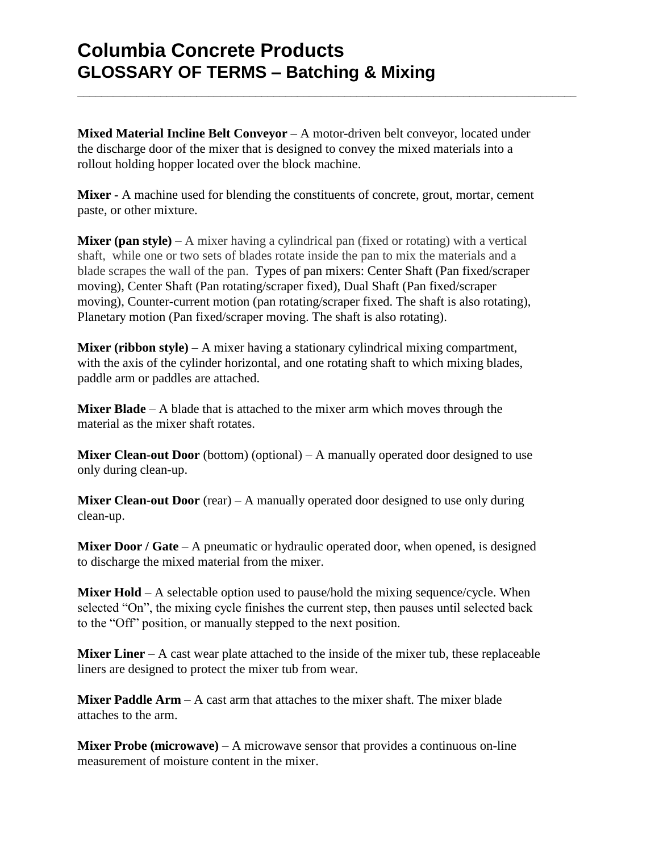**Mixed Material Incline Belt Conveyor** – A motor-driven belt conveyor, located under the discharge door of the mixer that is designed to convey the mixed materials into a rollout holding hopper located over the block machine.

**\_\_\_\_\_\_\_\_\_\_\_\_\_\_\_\_\_\_\_\_\_\_\_\_\_\_\_\_\_\_\_\_\_\_\_\_\_\_\_\_\_\_\_\_\_\_\_\_\_\_\_\_\_\_\_\_\_\_\_\_\_\_\_\_\_\_\_\_\_\_\_\_\_\_\_\_\_\_\_\_\_\_\_\_**

**Mixer -** A machine used for blending the constituents of concrete, grout, mortar, cement paste, or other mixture.

**Mixer (pan style)** – A mixer having a cylindrical pan (fixed or rotating) with a vertical shaft, while one or two sets of blades rotate inside the pan to mix the materials and a blade scrapes the wall of the pan. Types of pan mixers: Center Shaft (Pan fixed/scraper moving), Center Shaft (Pan rotating/scraper fixed), Dual Shaft (Pan fixed/scraper moving), Counter-current motion (pan rotating/scraper fixed. The shaft is also rotating), Planetary motion (Pan fixed/scraper moving. The shaft is also rotating).

**Mixer (ribbon style)** – A mixer having a stationary cylindrical mixing compartment, with the axis of the cylinder horizontal, and one rotating shaft to which mixing blades, paddle arm or paddles are attached.

**Mixer Blade** – A blade that is attached to the mixer arm which moves through the material as the mixer shaft rotates.

**Mixer Clean-out Door** (bottom) (optional) – A manually operated door designed to use only during clean-up.

**Mixer Clean-out Door** (rear) – A manually operated door designed to use only during clean-up.

**Mixer Door / Gate** – A pneumatic or hydraulic operated door, when opened, is designed to discharge the mixed material from the mixer.

**Mixer Hold** – A selectable option used to pause/hold the mixing sequence/cycle. When selected "On", the mixing cycle finishes the current step, then pauses until selected back to the "Off" position, or manually stepped to the next position.

**Mixer Liner** – A cast wear plate attached to the inside of the mixer tub, these replaceable liners are designed to protect the mixer tub from wear.

**Mixer Paddle Arm** – A cast arm that attaches to the mixer shaft. The mixer blade attaches to the arm.

**Mixer Probe (microwave)** – A microwave sensor that provides a continuous on-line measurement of moisture content in the mixer.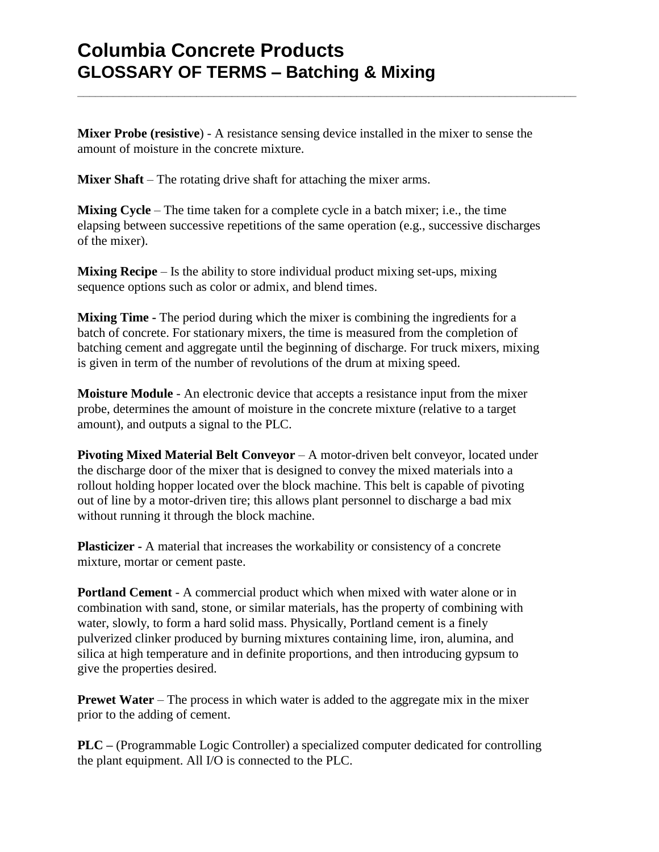**Mixer Probe (resistive**) - A resistance sensing device installed in the mixer to sense the amount of moisture in the concrete mixture.

**\_\_\_\_\_\_\_\_\_\_\_\_\_\_\_\_\_\_\_\_\_\_\_\_\_\_\_\_\_\_\_\_\_\_\_\_\_\_\_\_\_\_\_\_\_\_\_\_\_\_\_\_\_\_\_\_\_\_\_\_\_\_\_\_\_\_\_\_\_\_\_\_\_\_\_\_\_\_\_\_\_\_\_\_**

**Mixer Shaft** – The rotating drive shaft for attaching the mixer arms.

**Mixing Cycle** – The time taken for a complete cycle in a batch mixer; i.e., the time elapsing between successive repetitions of the same operation (e.g., successive discharges of the mixer).

**Mixing Recipe** – Is the ability to store individual product mixing set-ups, mixing sequence options such as color or admix, and blend times.

**Mixing Time -** The period during which the mixer is combining the ingredients for a batch of concrete. For stationary mixers, the time is measured from the completion of batching cement and aggregate until the beginning of discharge. For truck mixers, mixing is given in term of the number of revolutions of the drum at mixing speed.

**Moisture Module** - An electronic device that accepts a resistance input from the mixer probe, determines the amount of moisture in the concrete mixture (relative to a target amount), and outputs a signal to the PLC.

**Pivoting Mixed Material Belt Conveyor** – A motor-driven belt conveyor, located under the discharge door of the mixer that is designed to convey the mixed materials into a rollout holding hopper located over the block machine. This belt is capable of pivoting out of line by a motor-driven tire; this allows plant personnel to discharge a bad mix without running it through the block machine.

**Plasticizer -** A material that increases the workability or consistency of a concrete mixture, mortar or cement paste.

**Portland Cement** - A commercial product which when mixed with water alone or in combination with sand, stone, or similar materials, has the property of combining with water, slowly, to form a hard solid mass. Physically, Portland cement is a finely pulverized clinker produced by burning mixtures containing lime, iron, alumina, and silica at high temperature and in definite proportions, and then introducing gypsum to give the properties desired.

**Prewet Water** – The process in which water is added to the aggregate mix in the mixer prior to the adding of cement.

**PLC –** (Programmable Logic Controller) a specialized computer dedicated for controlling the plant equipment. All I/O is connected to the PLC.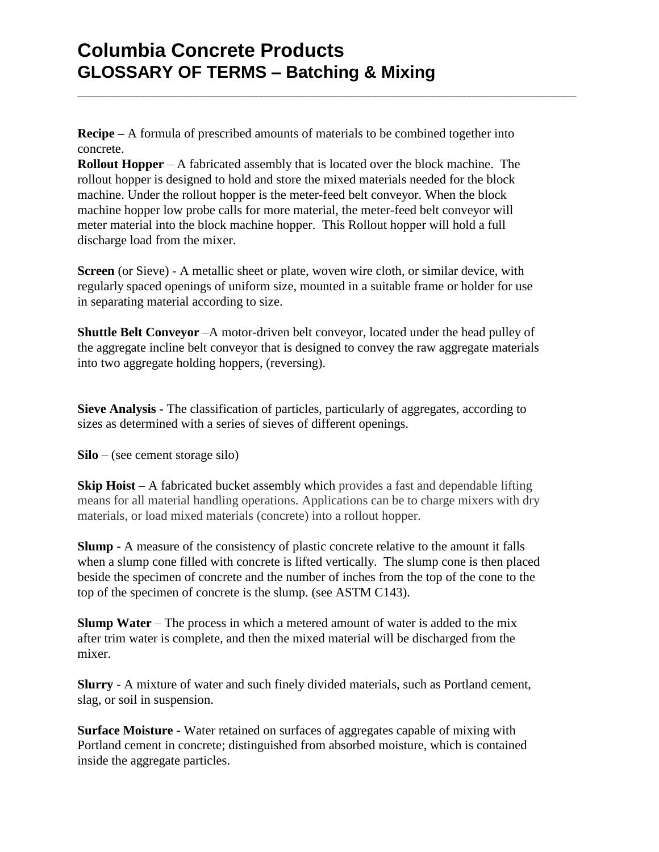**Recipe –** A formula of prescribed amounts of materials to be combined together into concrete.

**\_\_\_\_\_\_\_\_\_\_\_\_\_\_\_\_\_\_\_\_\_\_\_\_\_\_\_\_\_\_\_\_\_\_\_\_\_\_\_\_\_\_\_\_\_\_\_\_\_\_\_\_\_\_\_\_\_\_\_\_\_\_\_\_\_\_\_\_\_\_\_\_\_\_\_\_\_\_\_\_\_\_\_\_**

**Rollout Hopper** – A fabricated assembly that is located over the block machine. The rollout hopper is designed to hold and store the mixed materials needed for the block machine. Under the rollout hopper is the meter-feed belt conveyor. When the block machine hopper low probe calls for more material, the meter-feed belt conveyor will meter material into the block machine hopper. This Rollout hopper will hold a full discharge load from the mixer.

**Screen** (or Sieve) - A metallic sheet or plate, woven wire cloth, or similar device, with regularly spaced openings of uniform size, mounted in a suitable frame or holder for use in separating material according to size.

**Shuttle Belt Conveyor** –A motor-driven belt conveyor, located under the head pulley of the aggregate incline belt conveyor that is designed to convey the raw aggregate materials into two aggregate holding hoppers, (reversing).

**Sieve Analysis -** The classification of particles, particularly of aggregates, according to sizes as determined with a series of sieves of different openings.

**Silo** – (see cement storage silo)

**Skip Hoist** – A fabricated bucket assembly which provides a fast and dependable lifting means for all material handling operations. Applications can be to charge mixers with dry materials, or load mixed materials (concrete) into a rollout hopper.

**Slump -** A measure of the consistency of plastic concrete relative to the amount it falls when a slump cone filled with concrete is lifted vertically. The slump cone is then placed beside the specimen of concrete and the number of inches from the top of the cone to the top of the specimen of concrete is the slump. (see ASTM C143).

**Slump Water** – The process in which a metered amount of water is added to the mix after trim water is complete, and then the mixed material will be discharged from the mixer.

**Slurry** - A mixture of water and such finely divided materials, such as Portland cement, slag, or soil in suspension.

**Surface Moisture -** Water retained on surfaces of aggregates capable of mixing with Portland cement in concrete; distinguished from absorbed moisture, which is contained inside the aggregate particles.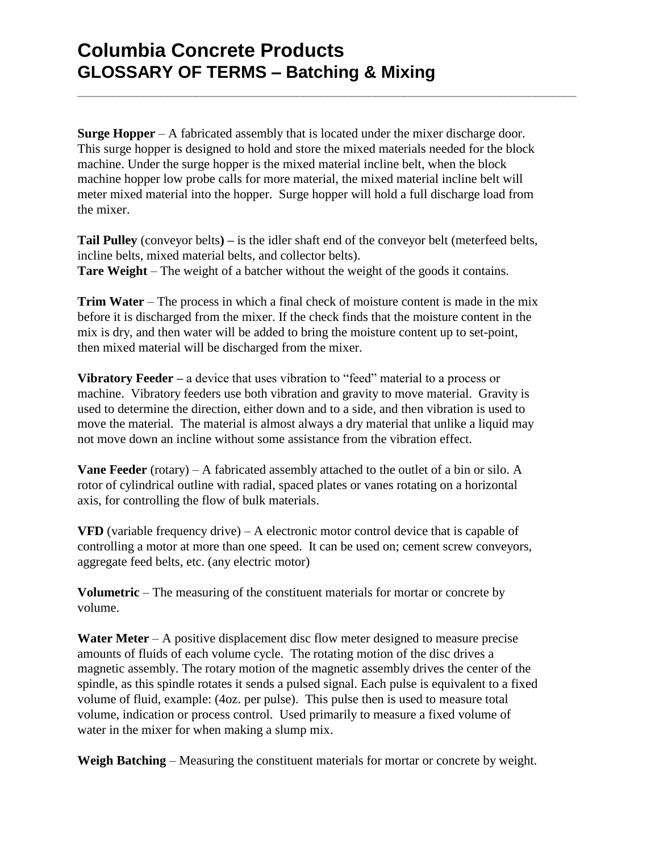**Surge Hopper** – A fabricated assembly that is located under the mixer discharge door. This surge hopper is designed to hold and store the mixed materials needed for the block machine. Under the surge hopper is the mixed material incline belt, when the block machine hopper low probe calls for more material, the mixed material incline belt will meter mixed material into the hopper. Surge hopper will hold a full discharge load from the mixer.

**\_\_\_\_\_\_\_\_\_\_\_\_\_\_\_\_\_\_\_\_\_\_\_\_\_\_\_\_\_\_\_\_\_\_\_\_\_\_\_\_\_\_\_\_\_\_\_\_\_\_\_\_\_\_\_\_\_\_\_\_\_\_\_\_\_\_\_\_\_\_\_\_\_\_\_\_\_\_\_\_\_\_\_\_**

**Tail Pulley** (conveyor belts**) –** is the idler shaft end of the conveyor belt (meterfeed belts, incline belts, mixed material belts, and collector belts). **Tare Weight** – The weight of a batcher without the weight of the goods it contains.

**Trim Water** – The process in which a final check of moisture content is made in the mix before it is discharged from the mixer. If the check finds that the moisture content in the mix is dry, and then water will be added to bring the moisture content up to set-point, then mixed material will be discharged from the mixer.

**Vibratory Feeder –** a device that uses vibration to "feed" material to a process or machine. Vibratory feeders use both vibration and gravity to move material. Gravity is used to determine the direction, either down and to a side, and then vibration is used to move the material. The material is almost always a dry material that unlike a liquid may not move down an incline without some assistance from the vibration effect.

**Vane Feeder** (rotary) – A fabricated assembly attached to the outlet of a bin or silo. A rotor of cylindrical outline with radial, spaced plates or vanes rotating on a horizontal axis, for controlling the flow of bulk materials.

**VFD** (variable frequency drive) – A electronic motor control device that is capable of controlling a motor at more than one speed. It can be used on; cement screw conveyors, aggregate feed belts, etc. (any electric motor)

**Volumetric** – The measuring of the constituent materials for mortar or concrete by volume.

**Water Meter** – A positive displacement disc flow meter designed to measure precise amounts of fluids of each volume cycle. The rotating motion of the disc drives a magnetic assembly. The rotary motion of the magnetic assembly drives the center of the spindle, as this spindle rotates it sends a pulsed signal. Each pulse is equivalent to a fixed volume of fluid, example: (4oz. per pulse). This pulse then is used to measure total volume, indication or process control. Used primarily to measure a fixed volume of water in the mixer for when making a slump mix.

**Weigh Batching** – Measuring the constituent materials for mortar or concrete by weight.